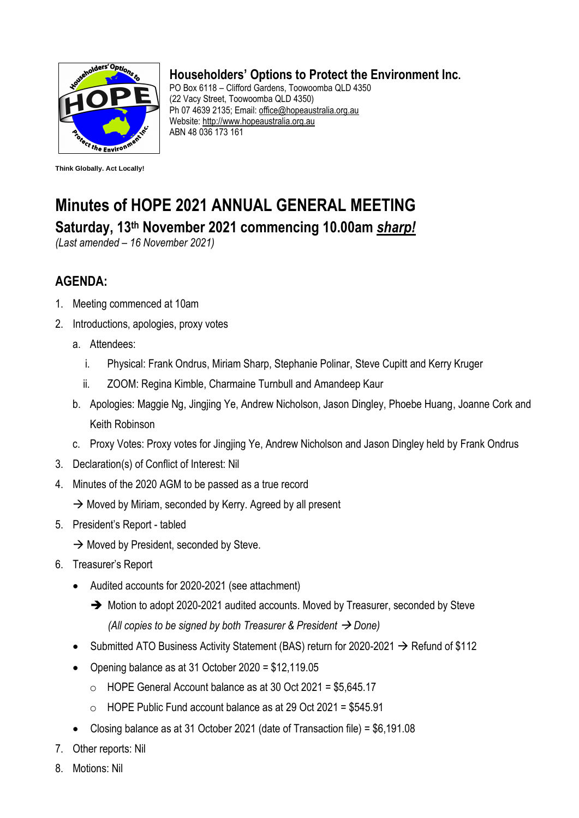

**Think Globally. Act Locally!**

## **Householders' Options to Protect the Environment Inc.**

PO Box 6118 – Clifford Gardens, Toowoomba QLD 4350 (22 Vacy Street, Toowoomba QLD 4350) Ph 07 4639 2135; Email: office@hopeaustralia.org.au Website: [http://www.hopeaustralia.org.au](http://www.hopeaustralia.org.au/) ABN 48 036 173 161

## **Minutes of HOPE 2021 ANNUAL GENERAL MEETING Saturday, 13 th November 2021 commencing 10.00am** *sharp!*

*(Last amended – 16 November 2021)*

## **AGENDA:**

- 1. Meeting commenced at 10am
- 2. Introductions, apologies, proxy votes
	- a. Attendees:
		- i. Physical: Frank Ondrus, Miriam Sharp, Stephanie Polinar, Steve Cupitt and Kerry Kruger
		- ii. ZOOM: Regina Kimble, Charmaine Turnbull and Amandeep Kaur
	- b. Apologies: Maggie Ng, Jingjing Ye, Andrew Nicholson, Jason Dingley, Phoebe Huang, Joanne Cork and Keith Robinson
	- c. Proxy Votes: Proxy votes for Jingjing Ye, Andrew Nicholson and Jason Dingley held by Frank Ondrus
- 3. Declaration(s) of Conflict of Interest: Nil
- 4. Minutes of the 2020 AGM to be passed as a true record
	- $\rightarrow$  Moved by Miriam, seconded by Kerry. Agreed by all present
- 5. President's Report tabled
	- $\rightarrow$  Moved by President, seconded by Steve.
- 6. Treasurer's Report
	- Audited accounts for 2020-2021 (see attachment)
		- ➔ Motion to adopt 2020-2021 audited accounts. Moved by Treasurer, seconded by Steve *(All copies to be signed by both Treasurer & President* → *Done)*
	- Submitted ATO Business Activity Statement (BAS) return for 2020-2021  $\rightarrow$  Refund of \$112
	- Opening balance as at 31 October 2020 = \$12,119.05
		- o HOPE General Account balance as at 30 Oct 2021 = \$5,645.17
		- o HOPE Public Fund account balance as at 29 Oct 2021 = \$545.91
	- Closing balance as at 31 October 2021 (date of Transaction file) = \$6,191.08
- 7. Other reports: Nil
- 8. Motions: Nil